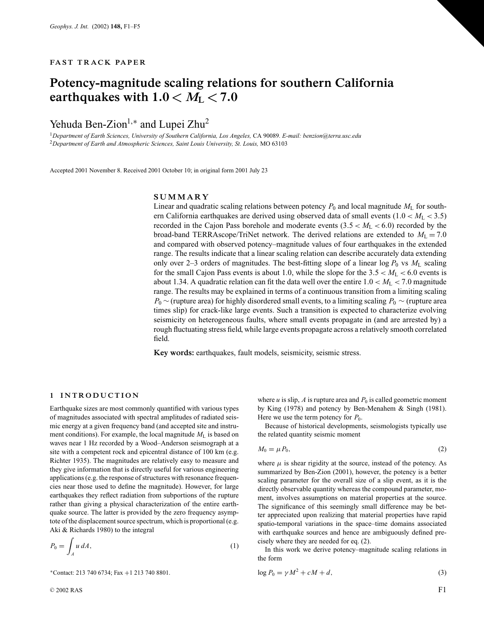## **FAST TRACK PAPER**

# **Potency-magnitude scaling relations for southern California earthquakes with**  $1.0 < M<sub>L</sub> < 7.0$

Yehuda Ben-Zion<sup>1,∗</sup> and Lupei Zhu<sup>2</sup>

<sup>1</sup>*Department of Earth Sciences, University of Southern California, Los Angeles,* CA 90089*. E-mail: benzion@terra.usc.edu* <sup>2</sup>*Department of Earth and Atmospheric Sciences, Saint Louis University, St. Louis,* MO 63103

Accepted 2001 November 8. Received 2001 October 10; in original form 2001 July 23

#### **SUMMARY**

Linear and quadratic scaling relations between potency  $P_0$  and local magnitude  $M_L$  for southern California earthquakes are derived using observed data of small events  $(1.0 < M<sub>L</sub> < 3.5)$ recorded in the Cajon Pass borehole and moderate events  $(3.5 < M<sub>L</sub> < 6.0)$  recorded by the broad-band TERRAscope/TriNet network. The derived relations are extended to  $M_L = 7.0$ and compared with observed potency–magnitude values of four earthquakes in the extended range. The results indicate that a linear scaling relation can describe accurately data extending only over 2–3 orders of magnitudes. The best-fitting slope of a linear log  $P_0$  vs  $M_L$  scaling for the small Cajon Pass events is about 1.0, while the slope for the  $3.5 < M<sub>L</sub> < 6.0$  events is about 1.34. A quadratic relation can fit the data well over the entire  $1.0 < M<sub>L</sub> < 7.0$  magnitude range. The results may be explained in terms of a continuous transition from a limiting scaling *P*<sub>0</sub> ∼ (rupture area) for highly disordered small events, to a limiting scaling *P*<sub>0</sub> ∼ (rupture area times slip) for crack-like large events. Such a transition is expected to characterize evolving seismicity on heterogeneous faults, where small events propagate in (and are arrested by) a rough fluctuating stress field, while large events propagate across a relatively smooth correlated field.

**Key words:** earthquakes, fault models, seismicity, seismic stress.

### **1 INTRODUCTION**

Earthquake sizes are most commonly quantified with various types of magnitudes associated with spectral amplitudes of radiated seismic energy at a given frequency band (and accepted site and instrument conditions). For example, the local magnitude  $M<sub>L</sub>$  is based on waves near 1 Hz recorded by a Wood–Anderson seismograph at a site with a competent rock and epicentral distance of 100 km (e.g. Richter 1935). The magnitudes are relatively easy to measure and they give information that is directly useful for various engineering applications (e.g. the response of structures with resonance frequencies near those used to define the magnitude). However, for large earthquakes they reflect radiation from subportions of the rupture rather than giving a physical characterization of the entire earthquake source. The latter is provided by the zero frequency asymptote of the displacement source spectrum, which is proportional (e.g. Aki & Richards 1980) to the integral

$$
P_0 = \int_A u \, dA,\tag{1}
$$

<sup>∗</sup>Contact: 213 740 6734; Fax +1 213 740 8801.

where  $u$  is slip,  $A$  is rupture area and  $P_0$  is called geometric moment by King (1978) and potency by Ben-Menahem & Singh (1981). Here we use the term potency for  $P_0$ .

Because of historical developments, seismologists typically use the related quantity seismic moment

$$
M_0 = \mu P_0,\tag{2}
$$

where  $\mu$  is shear rigidity at the source, instead of the potency. As summarized by Ben-Zion (2001), however, the potency is a better scaling parameter for the overall size of a slip event, as it is the directly observable quantity whereas the compound parameter, moment, involves assumptions on material properties at the source. The significance of this seemingly small difference may be better appreciated upon realizing that material properties have rapid spatio-temporal variations in the space–time domains associated with earthquake sources and hence are ambiguously defined precisely where they are needed for eq. (2).

In this work we derive potency–magnitude scaling relations in the form

$$
\log P_0 = \gamma M^2 + cM + d,\tag{3}
$$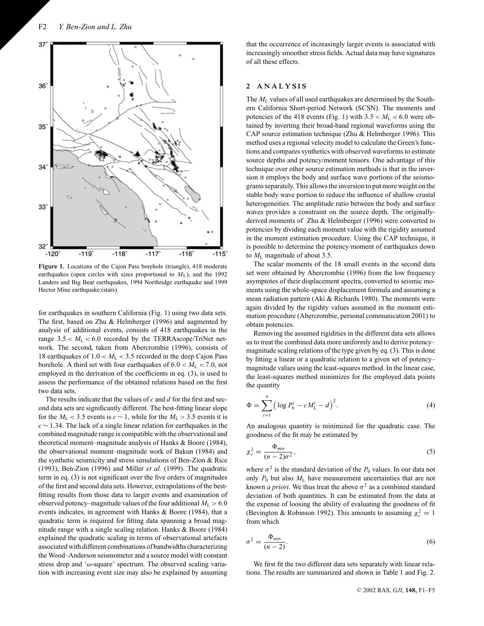

**Figure 1.** Locations of the Cajon Pass borehole (triangle), 418 moderate earthquakes (open circles with sizes proportional to  $M_{\rm L}$ ), and the 1992 Landers and Big Bear earthquakes, 1994 Northridge earthquake and 1999 Hector Mine earthquake (stars).

for earthquakes in southern California (Fig. 1) using two data sets. The first, based on Zhu & Helmberger (1996) and augmented by analysis of additional events, consists of 418 earthquakes in the range  $3.5 < M<sub>L</sub> < 6.0$  recorded by the TERRAscope/TriNet network. The second, taken from Abercrombie (1996), consists of 18 earthquakes of  $1.0 < M<sub>L</sub> < 3.5$  recorded in the deep Cajon Pass borehole. A third set with four earthquakes of  $6.0 < M<sub>L</sub> < 7.0$ , not employed in the derivation of the coefficients in eq. (3), is used to assess the performance of the obtained relations based on the first two data sets.

The results indicate that the values of *c* and *d* for the first and second data sets are significantly different. The best-fitting linear slope for the  $M_L < 3.5$  events is  $c \sim 1$ , while for the  $M_L > 3.5$  events it is *c* ∼ 1.34. The lack of a single linear relation for earthquakes in the combined magnitude range is compatible with the observational and theoretical moment–magnitude analysis of Hanks & Boore (1984), the observational moment–magnitude work of Bakun (1984) and the synthetic seismicity and stress simulations of Ben-Zion & Rice (1993), Ben-Zion (1996) and Miller *et al.* (1999). The quadratic term in eq. (3) is not significant over the five orders of magnitudes of the first and second data sets. However, extrapolations of the bestfitting results from those data to larger events and examination of observed potency–magnitude values of the four additional  $M_L > 6.0$ events indicates, in agreement with Hanks & Boore (1984), that a quadratic term is required for fitting data spanning a broad magnitude range with a single scaling relation. Hanks & Boore (1984) explained the quadratic scaling in terms of observational artefacts associated with different combinations of bandwidths characterizing the Wood–Anderson seismometer and a source model with constant stress drop and 'ω-square' spectrum. The observed scaling variation with increasing event size may also be explained by assuming that the occurrence of increasingly larger events is associated with increasingly smoother stress fields. Actual data may have signatures of all these effects.

# **2 ANALYSIS**

The *M*<sup>L</sup> values of all used earthquakes are determined by the Southern California Short-period Network (SCSN). The moments and potencies of the 418 events (Fig. 1) with  $3.5 < M<sub>L</sub> < 6.0$  were obtained by inverting their broad-band regional waveforms using the CAP source estimation technique (Zhu & Helmberger 1996). This method uses a regional velocity model to calculate the Green's functions and compares synthetics with observed waveforms to estimate source depths and potency/moment tensors. One advantage of this technique over other source estimation methods is that in the inversion it employs the body and surface wave portions of the seismograms separately. This allows the inversion to put more weight on the stable body wave portion to reduce the influence of shallow crustal heterogeneities. The amplitude ratio between the body and surface waves provides a constraint on the source depth. The originallyderived moments of Zhu & Helmberger (1996) were converted to potencies by dividing each moment value with the rigidity assumed in the moment estimation procedure. Using the CAP technique, it is possible to determine the potency/moment of earthquakes down to *M*<sup>L</sup> magnitude of about 3.5.

The scalar moments of the 18 small events in the second data set were obtained by Abercrombie (1996) from the low frequency asymptotes of their displacement spectra, converted to seismic moments using the whole-space displacement formula and assuming a mean radiation pattern (Aki & Richards 1980). The moments were again divided by the rigidity values assumed in the moment estimation procedure (Abercrombie, personal communication 2001) to obtain potencies.

Removing the assumed rigidities in the different data sets allows us to treat the combined data more uniformly and to derive potency– magnitude scaling relations of the type given by eq. (3). This is done by fitting a linear or a quadratic relation to a given set of potency– magnitude values using the least-squares method. In the linear case, the least-squares method minimizes for the employed data points the quantity

$$
\Phi = \sum_{i=1}^{n} \left( \log P_0^i - c M_{\rm L}^i - d \right)^2.
$$
 (4)

An analogous quantity is minimized for the quadratic case. The goodness of the fit may be estimated by

$$
\chi_{\nu}^2 = \frac{\Phi_{min}}{(n-2)\sigma^2},\tag{5}
$$

where  $\sigma^2$  is the standard deviation of the  $P_0$  values. In our data not only  $P_0$  but also  $M_L$  have measurement uncertainties that are not known *a priori*. We thus treat the above  $\sigma^2$  as a combined standard deviation of both quantities. It can be estimated from the data at the expense of loosing the ability of evaluating the goodness of fit (Bevington & Robinson 1992). This amounts to assuming  $\chi^2_{\nu} = 1$ from which

$$
\sigma^2 = \frac{\Phi_{min}}{(n-2)}.\tag{6}
$$

We first fit the two different data sets separately with linear relations. The results are summarized and shown in Table 1 and Fig. 2.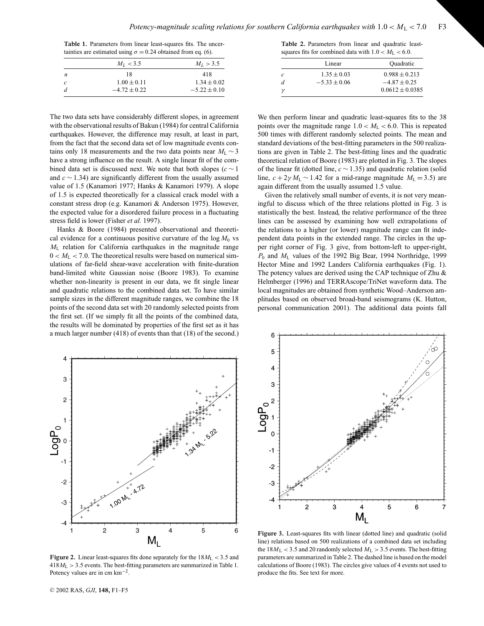**Table 1.** Parameters from linear least-squares fits. The uncertainties are estimated using  $\sigma = 0.24$  obtained from eq. (6).

|   | $M_I < 3.5$      | $M_L > 3.5$      |
|---|------------------|------------------|
| n | 18               | 418              |
|   | $1.00 \pm 0.11$  | $1.34 \pm 0.02$  |
|   | $-4.72 \pm 0.22$ | $-5.22 \pm 0.10$ |

The two data sets have considerably different slopes, in agreement with the observational results of Bakun (1984) for central California earthquakes. However, the difference may result, at least in part, from the fact that the second data set of low magnitude events contains only 18 measurements and the two data points near  $M_L \sim 3$ have a strong influence on the result. A single linear fit of the combined data set is discussed next. We note that both slopes (*c* ∼ 1 and *c* ∼ 1.34) are significantly different from the usually assumed value of 1.5 (Kanamori 1977; Hanks & Kanamori 1979). A slope of 1.5 is expected theoretically for a classical crack model with a constant stress drop (e.g. Kanamori & Anderson 1975). However, the expected value for a disordered failure process in a fluctuating stress field is lower (Fisher *et al.* 1997).

Hanks & Boore (1984) presented observational and theoretical evidence for a continuous positive curvature of the  $log M_0$  vs *M*<sup>L</sup> relation for California earthquakes in the magnitude range  $0 < M<sub>L</sub> < 7.0$ . The theoretical results were based on numerical simulations of far-field shear-wave acceleration with finite-duration band-limited white Gaussian noise (Boore 1983). To examine whether non-linearity is present in our data, we fit single linear and quadratic relations to the combined data set. To have similar sample sizes in the different magnitude ranges, we combine the 18 points of the second data set with 20 randomly selected points from the first set. (If we simply fit all the points of the combined data, the results will be dominated by properties of the first set as it has a much larger number (418) of events than that (18) of the second.) **Table 2.** Parameters from linear and quadratic leastsquares fits for combined data with  $1.0 < M<sub>L</sub> < 6.0$ .

|   | Linear           | Ouadratic         |
|---|------------------|-------------------|
|   |                  |                   |
| c | $1.35 \pm 0.03$  | $0.988 \pm 0.213$ |
|   | $-5.33 \pm 0.06$ | $-4.87 \pm 0.25$  |
|   |                  | $0.0612 + 0.0385$ |

We then perform linear and quadratic least-squares fits to the 38 points over the magnitude range  $1.0 < M<sub>L</sub> < 6.0$ . This is repeated 500 times with different randomly selected points. The mean and standard deviations of the best-fitting parameters in the 500 realizations are given in Table 2. The best-fitting lines and the quadratic theoretical relation of Boore (1983) are plotted in Fig. 3. The slopes of the linear fit (dotted line, *c* ∼ 1.35) and quadratic relation (solid line,  $c + 2\gamma M_L \sim 1.42$  for a mid-range magnitude  $M_L = 3.5$ ) are again different from the usually assumed 1.5 value.

Given the relatively small number of events, it is not very meaningful to discuss which of the three relations plotted in Fig. 3 is statistically the best. Instead, the relative performance of the three lines can be assessed by examining how well extrapolations of the relations to a higher (or lower) magnitude range can fit independent data points in the extended range. The circles in the upper right corner of Fig. 3 give, from bottom-left to upper-right, *P*<sup>0</sup> and *M*<sup>L</sup> values of the 1992 Big Bear, 1994 Northridge, 1999 Hector Mine and 1992 Landers California earthquakes (Fig. 1). The potency values are derived using the CAP technique of Zhu & Helmberger (1996) and TERRAscope/TriNet waveform data. The local magnitudes are obtained from synthetic Wood–Anderson amplitudes based on observed broad-band seismograms (K. Hutton, personal communication 2001). The additional data points fall



**Figure 2.** Linear least-squares fits done separately for the  $18M<sub>L</sub> < 3.5$  and 418*M*<sup>L</sup> > 3.5 events. The best-fitting parameters are summarized in Table 1. Potency values are in cm km−2.



**Figure 3.** Least-squares fits with linear (dotted line) and quadratic (solid line) relations based on 500 realizations of a combined data set including the  $18M_L < 3.5$  and 20 randomly selected  $M_L > 3.5$  events. The best-fitting parameters are summarized in Table 2. The dashed line is based on the model calculations of Boore (1983). The circles give values of 4 events not used to produce the fits. See text for more.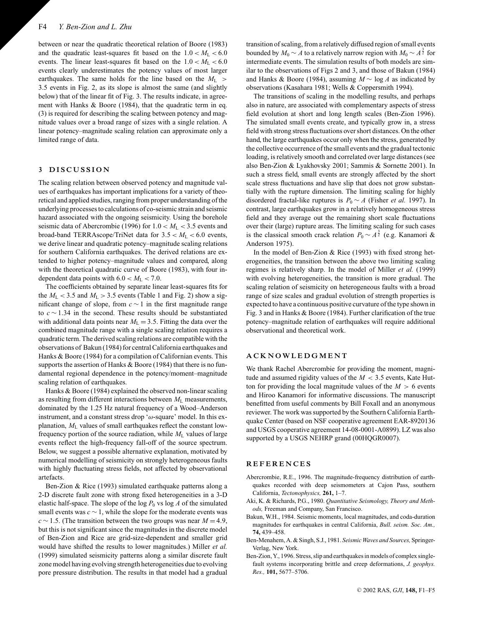between or near the quadratic theoretical relation of Boore (1983) and the quadratic least-squares fit based on the  $1.0 < M<sub>L</sub> < 6.0$ events. The linear least-squares fit based on the  $1.0 < M<sub>L</sub> < 6.0$ events clearly underestimates the potency values of most larger earthquakes. The same holds for the line based on the  $M_L >$ 3.5 events in Fig. 2, as its slope is almost the same (and slightly below) that of the linear fit of Fig. 3. The results indicate, in agreement with Hanks & Boore (1984), that the quadratic term in eq. (3) is required for describing the scaling between potency and magnitude values over a broad range of sizes with a single relation. A linear potency–magnitude scaling relation can approximate only a limited range of data.

# **3 DISCUSSION**

The scaling relation between observed potency and magnitude values of earthquakes has important implications for a variety of theoretical and applied studies, ranging from proper understanding of the underlying processes to calculations of co-seismic strain and seismic hazard associated with the ongoing seismicity. Using the borehole seismic data of Abercrombie (1996) for 1.0 < *M*<sup>L</sup> < 3.5 events and broad-band TERRAscope/TriNet data for 3.5 < *M*<sup>L</sup> < 6.0 events, we derive linear and quadratic potency–magnitude scaling relations for southern California earthquakes. The derived relations are extended to higher potency–magnitude values and compared, along with the theoretical quadratic curve of Boore (1983), with four independent data points with  $6.0 < M<sub>L</sub> < 7.0$ .

The coefficients obtained by separate linear least-squares fits for the  $M_L < 3.5$  and  $M_L > 3.5$  events (Table 1 and Fig. 2) show a significant change of slope, from *c* ∼ 1 in the first magnitude range to *c* ∼ 1.34 in the second. These results should be substantiated with additional data points near  $M<sub>L</sub> = 3.5$ . Fitting the data over the combined magnitude range with a single scaling relation requires a quadratic term. The derived scaling relations are compatible with the observations of Bakun (1984) for central California earthquakes and Hanks & Boore (1984) for a compilation of Californian events. This supports the assertion of Hanks  $&$  Boore (1984) that there is no fundamental regional dependence in the potency/moment–magnitude scaling relation of earthquakes.

Hanks & Boore (1984) explained the observed non-linear scaling as resulting from different interactions between *M*<sup>L</sup> measurements, dominated by the 1.25 Hz natural frequency of a Wood–Anderson instrument, and a constant stress drop ' $\omega$ -square' model. In this explanation, *M*<sup>L</sup> values of small earthquakes reflect the constant lowfrequency portion of the source radiation, while *M*<sup>L</sup> values of large events reflect the high-frequency fall-off of the source spectrum. Below, we suggest a possible alternative explanation, motivated by numerical modelling of seismicity on strongly heterogeneous faults with highly fluctuating stress fields, not affected by observational artefacts.

Ben-Zion & Rice (1993) simulated earthquake patterns along a 2-D discrete fault zone with strong fixed heterogeneities in a 3-D elastic half-space. The slope of the log  $P_0$  vs log  $A$  of the simulated small events was  $c \sim 1$ , while the slope for the moderate events was  $c \sim 1.5$ . (The transition between the two groups was near  $M = 4.9$ , but this is not significant since the magnitudes in the discrete model of Ben-Zion and Rice are grid-size-dependent and smaller grid would have shifted the results to lower magnitudes.) Miller *et al.* (1999) simulated seismicity patterns along a similar discrete fault zone model having evolving strength heterogeneities due to evolving pore pressure distribution. The results in that model had a gradual transition of scaling, from a relatively diffused region of small events bounded by *M*<sub>0</sub> ∼ *A* to a relatively narrow region with  $M_0 \sim A^{\frac{3}{2}}$  for intermediate events. The simulation results of both models are similar to the observations of Figs 2 and 3, and those of Bakun (1984) and Hanks & Boore (1984), assuming *M* ∼ log *A* as indicated by observations (Kasahara 1981; Wells & Coppersmith 1994).

The transitions of scaling in the modelling results, and perhaps also in nature, are associated with complementary aspects of stress field evolution at short and long length scales (Ben-Zion 1996). The simulated small events create, and typically grow in, a stress field with strong stress fluctuations over short distances. On the other hand, the large earthquakes occur only when the stress, generated by the collective occurrence of the small events and the gradual tectonic loading, is relatively smooth and correlated over large distances (see also Ben-Zion & Lyakhovsky 2001; Sammis & Sornette 2001). In such a stress field, small events are strongly affected by the short scale stress fluctuations and have slip that does not grow substantially with the rupture dimension. The limiting scaling for highly disordered fractal-like ruptures is  $P_0 \sim A$  (Fisher *et al.* 1997). In contrast, large earthquakes grow in a relatively homogeneous stress field and they average out the remaining short scale fluctuations over their (large) rupture areas. The limiting scaling for such cases is the classical smooth crack relation  $P_0 \sim A^{\frac{3}{2}}$  (e.g. Kanamori & Anderson 1975).

In the model of Ben-Zion & Rice (1993) with fixed strong heterogeneities, the transition between the above two limiting scaling regimes is relatively sharp. In the model of Miller *et al.* (1999) with evolving heterogeneities, the transition is more gradual. The scaling relation of seismicity on heterogeneous faults with a broad range of size scales and gradual evolution of strength properties is expected to have a continuous positive curvature of the type shown in Fig. 3 and in Hanks & Boore (1984). Further clarification of the true potency–magnitude relation of earthquakes will require additional observational and theoretical work.

### **ACKNOWLEDGMENT**

We thank Rachel Abercrombie for providing the moment, magnitude and assumed rigidity values of the *M* < 3.5 events, Kate Hutton for providing the local magnitude values of the  $M > 6$  events and Hiroo Kanamori for informative discussions. The manuscript benefitted from useful comments by Bill Foxall and an anonymous reviewer. The work was supported by the Southern California Earthquake Center (based on NSF cooperative agreement EAR-8920136 and USGS cooperative agreement 14-08-0001-A0899). LZ was also supported by a USGS NEHRP grand (00HQGR0007).

#### **REFERENCES**

- Abercrombie, R.E., 1996. The magnitude-frequency distribution of earthquakes recorded with deep seismometers at Cajon Pass, southern California, *Tectonophysics,* **261,** 1–7.
- Aki, K. & Richards, P.G., 1980. *Quantitative Seismology, Theory and Methods,* Freeman and Company, San Francisco.
- Bakun, W.H., 1984. Seismic moments, local magnitudes, and coda-duration magnitudes for earthquakes in central California, *Bull. seism. Soc. Am.,* **74,** 439–458.
- Ben-Menahem, A. & Singh, S.J., 1981. *Seismic Waves and Sources,* Springer-Verlag, New York.
- Ben-Zion, Y., 1996. Stress, slip and earthquakes in models of complex singlefault systems incorporating brittle and creep deformations, *J. geophys. Res.,* **101,** 5677–5706.